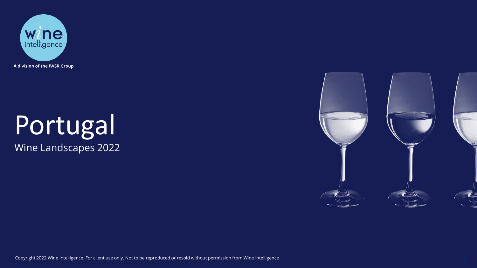

# Portugal Wine Landscapes 2022



Copyright 2022 Wine Intelligence. For client use only. Not to be reproduced or resold without permission from Wine Intelligence 1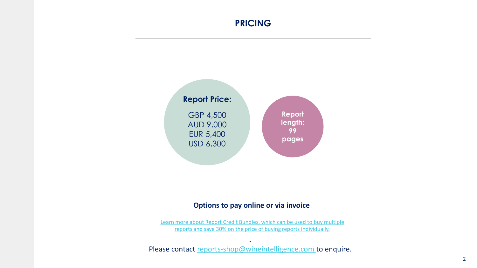#### **PRICING**



#### **Options to pay online or via invoice**

[Learn more about Report Credit Bundles, which can be used to buy multiple](https://www.wineintelligence.com/downloads/report-credit-bundle/) reports and save 30% on the price of buying reports individually.

**.**  Please contact [reports-shop@wineintelligence.com](mailto:reports-shop@wineintelligence.com) to enquire.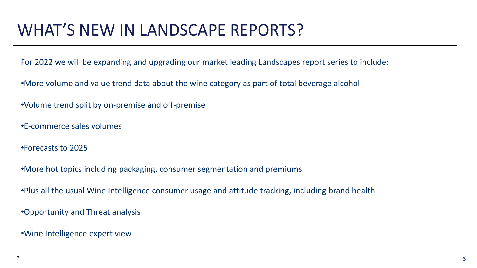### WHAT'S NEW IN LANDSCAPE REPORTS?

For 2022 we will be expanding and upgrading our market leading Landscapes report series to include:

•More volume and value trend data about the wine category as part of total beverage alcohol

•Volume trend split by on-premise and off-premise

•E-commerce sales volumes

•Forecasts to 2025

•More hot topics including packaging, consumer segmentation and premiums

•Plus all the usual Wine Intelligence consumer usage and attitude tracking, including brand health

•Opportunity and Threat analysis

•Wine Intelligence expert view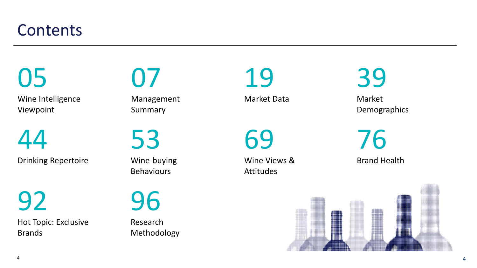#### **Contents**

Wine Intelligence Viewpoint 05

44

Drinking Repertoire

Hot Topic: Exclusive Brands 92

07

Management Summary

53

Wine -buying **Behaviours** 

Research Methodology 96

19

Market Data

69

Wine Views & Attitudes

39

Market Demographics

Brand Health 76

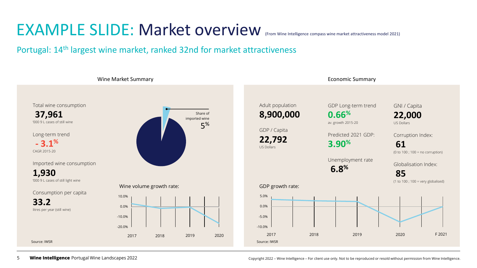#### EXAMPLE SLIDE: Market overview (From Wine Intelligence compass wine market attractiveness model 2021)

Portugal: 14<sup>th</sup> largest wine market, ranked 32nd for market attractiveness



5 **Wine Intelligence** Portugal Wine Landscapes 2022 **Copyright 2022** – Wine Intelligence – For client use only. Not to be reproduced or resold without permission from Wine Intelligence.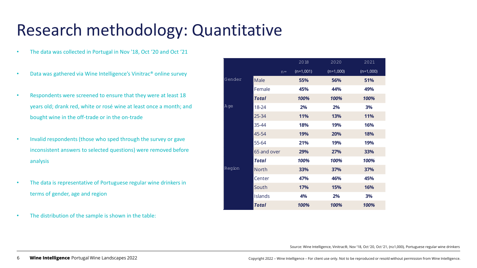### Research methodology: Quantitative

- The data was collected in Portugal in Nov '18, Oct '20 and Oct '21
- Data was gathered via Wine Intelligence's Vinitrac® online survey
- Respondents were screened to ensure that they were at least 18 years old; drank red, white or rosé wine at least once a month; and bought wine in the off-trade or in the on-trade
- Invalid respondents (those who sped through the survey or gave inconsistent answers to selected questions) were removed before analysis
- The data is representative of Portuguese regular wine drinkers in terms of gender, age and region
- The distribution of the sample is shown in the table:

|        |              | 2018        | 2020        | 2021        |
|--------|--------------|-------------|-------------|-------------|
|        | $n =$        | $(n=1,001)$ | $(n=1,000)$ | $(n=1,000)$ |
| Gender | Male         | 55%         | 56%         | 51%         |
|        | Female       | 45%         | 44%         | 49%         |
|        | Total        | 100%        | 100%        | 100%        |
| Age    | 18-24        | 2%          | 2%          | 3%          |
|        | 25-34        | <b>11%</b>  | 13%         | <b>11%</b>  |
|        | 35-44        | 18%         | 19%         | 16%         |
|        | 45-54        | 19%         | 20%         | 18%         |
|        | 55-64        | 21%         | 19%         | 19%         |
|        | 65 and over  | 29%         | 27%         | 33%         |
|        | Total        | 100%        | 100%        | 100%        |
| Region | <b>North</b> | 33%         | 37%         | 37%         |
|        | Center       | 47%         | 46%         | 45%         |
|        | South        | 17%         | <b>15%</b>  | 16%         |
|        | Islands      | 4%          | 2%          | 3%          |
|        | Total        | 100%        | 100%        | 100%        |

Source: Wine Intelligence, Vinitrac®, Nov '18, Oct '20, Oct '21, (n≥1,000), Portuguese regular wine drinkers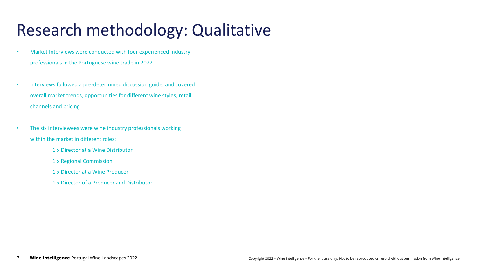## Research methodology: Qualitative

- Market Interviews were conducted with four experienced industry professionals in the Portuguese wine trade in 2022
- Interviews followed a pre-determined discussion guide, and covered overall market trends, opportunities for different wine styles, retail channels and pricing
- The six interviewees were wine industry professionals working within the market in different roles:
	- 1 x Director at a Wine Distributor
	- 1 x Regional Commission
	- 1 x Director at a Wine Producer
	- 1 x Director of a Producer and Distributor